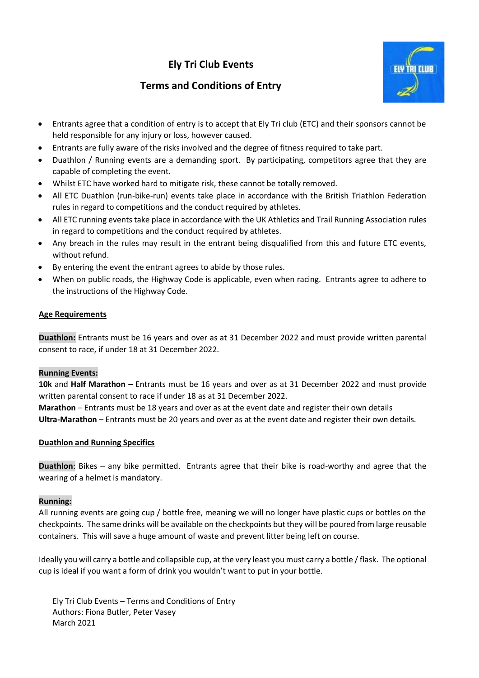# **Ely Tri Club Events**



## **Terms and Conditions of Entry**

- Entrants agree that a condition of entry is to accept that Ely Tri club (ETC) and their sponsors cannot be held responsible for any injury or loss, however caused.
- Entrants are fully aware of the risks involved and the degree of fitness required to take part.
- Duathlon / Running events are a demanding sport. By participating, competitors agree that they are capable of completing the event.
- Whilst ETC have worked hard to mitigate risk, these cannot be totally removed.
- All ETC Duathlon (run-bike-run) events take place in accordance with the British Triathlon Federation rules in regard to competitions and the conduct required by athletes.
- All ETC running events take place in accordance with the UK Athletics and Trail Running Association rules in regard to competitions and the conduct required by athletes.
- Any breach in the rules may result in the entrant being disqualified from this and future ETC events, without refund.
- By entering the event the entrant agrees to abide by those rules.
- When on public roads, the Highway Code is applicable, even when racing. Entrants agree to adhere to the instructions of the Highway Code.

### **Age Requirements**

**Duathlon:** Entrants must be 16 years and over as at 31 December 2022 and must provide written parental consent to race, if under 18 at 31 December 2022.

### **Running Events:**

**10k** and **Half Marathon** – Entrants must be 16 years and over as at 31 December 2022 and must provide written parental consent to race if under 18 as at 31 December 2022.

**Marathon** – Entrants must be 18 years and over as at the event date and register their own details **Ultra-Marathon** – Entrants must be 20 years and over as at the event date and register their own details.

### **Duathlon and Running Specifics**

**Duathlon**: Bikes – any bike permitted. Entrants agree that their bike is road-worthy and agree that the wearing of a helmet is mandatory.

### **Running:**

All running events are going cup / bottle free, meaning we will no longer have plastic cups or bottles on the checkpoints. The same drinks will be available on the checkpoints but they will be poured from large reusable containers. This will save a huge amount of waste and prevent litter being left on course.

Ideally you will carry a bottle and collapsible cup, at the very least you must carry a bottle / flask. The optional cup is ideal if you want a form of drink you wouldn't want to put in your bottle.

Ely Tri Club Events – Terms and Conditions of Entry Authors: Fiona Butler, Peter Vasey March 2021